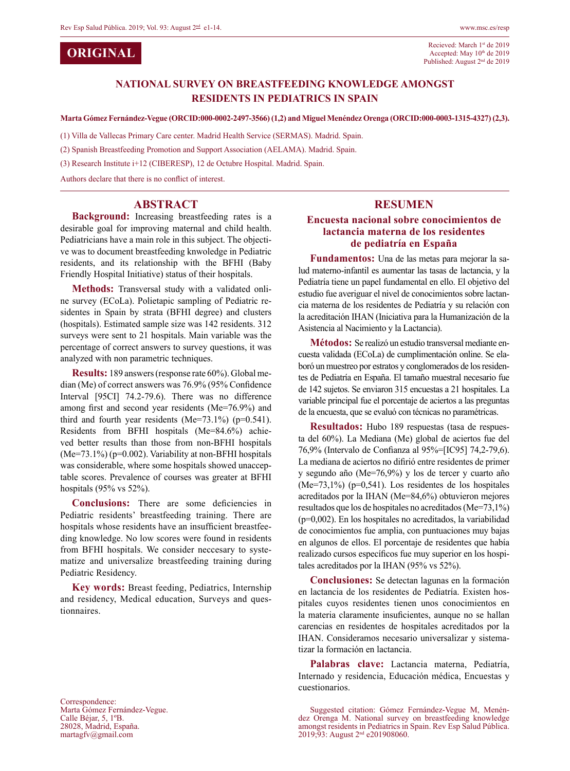**ORIGINAL**

### **National survey on breastfeeding knowledge amongst residents in Pediatrics in Spain**

**Marta Gómez Fernández-Vegue (ORCID:000-0002-2497-3566) (1,2) and Miguel Menéndez Orenga (ORCID:000-0003-1315-4327) (2,3).**

(1) Villa de Vallecas Primary Care center. Madrid Health Service (SERMAS). Madrid. Spain.

(2) Spanish Breastfeeding Promotion and Support Association (AELAMA). Madrid. Spain.

(3) Research Institute i+12 (CIBERESP), 12 de Octubre Hospital. Madrid. Spain.

Authors declare that there is no conflict of interest.

### **ABSTRACT**

**Background:** Increasing breastfeeding rates is a desirable goal for improving maternal and child health. Pediatricians have a main role in this subject. The objective was to document breastfeeding knwoledge in Pediatric residents, and its relationship with the BFHI (Baby Friendly Hospital Initiative) status of their hospitals.

**Methods:** Transversal study with a validated online survey (ECoLa). Polietapic sampling of Pediatric residentes in Spain by strata (BFHI degree) and clusters (hospitals). Estimated sample size was 142 residents. 312 surveys were sent to 21 hospitals. Main variable was the percentage of correct answers to survey questions, it was analyzed with non parametric techniques.

**Results:** 189 answers (response rate 60%). Global median (Me) of correct answers was 76.9% (95% Confidence Interval [95CI] 74.2-79.6). There was no difference among first and second year residents (Me=76.9%) and third and fourth year residents (Me=73.1%) ( $p=0.541$ ). Residents from BFHI hospitals (Me=84.6%) achieved better results than those from non-BFHI hospitals  $(Me=73.1\%)$  (p=0.002). Variability at non-BFHI hospitals was considerable, where some hospitals showed unacceptable scores. Prevalence of courses was greater at BFHI hospitals (95% vs 52%).

**Conclusions:** There are some deficiencies in Pediatric residents' breastfeeding training. There are hospitals whose residents have an insufficient breastfeeding knowledge. No low scores were found in residents from BFHI hospitals. We consider neccesary to systematize and universalize breastfeeding training during Pediatric Residency.

**Key words:** Breast feeding, Pediatrics, Internship and residency, Medical education, Surveys and questionnaires.

Correspondence: Marta Gómez Fernández-Vegue. Calle Béjar, 5, 1ºB. 28028, Madrid, España. martagfv@gmail.com

#### **RESUMEN**

### **Encuesta nacional sobre conocimientos de lactancia materna de los residentes de pediatría en España**

**Fundamentos:** Una de las metas para mejorar la salud materno-infantil es aumentar las tasas de lactancia, y la Pediatría tiene un papel fundamental en ello. El objetivo del estudio fue averiguar el nivel de conocimientos sobre lactancia materna de los residentes de Pediatría y su relación con la acreditación IHAN (Iniciativa para la Humanización de la Asistencia al Nacimiento y la Lactancia).

**Métodos:** Se realizó un estudio transversal mediante encuesta validada (ECoLa) de cumplimentación online. Se elaboró un muestreo por estratos y conglomerados de los residentes de Pediatría en España. El tamaño muestral necesario fue de 142 sujetos. Se enviaron 315 encuestas a 21 hospitales. La variable principal fue el porcentaje de aciertos a las preguntas de la encuesta, que se evaluó con técnicas no paramétricas.

**Resultados:** Hubo 189 respuestas (tasa de respuesta del 60%). La Mediana (Me) global de aciertos fue del 76,9% (Intervalo de Confianza al 95%=[IC95] 74,2-79,6). La mediana de aciertos no difirió entre residentes de primer y segundo año (Me=76,9%) y los de tercer y cuarto año (Me=73,1%) (p=0,541). Los residentes de los hospitales acreditados por la IHAN (Me=84,6%) obtuvieron mejores resultados que los de hospitales no acreditados (Me=73,1%) (p=0,002). En los hospitales no acreditados, la variabilidad de conocimientos fue amplia, con puntuaciones muy bajas en algunos de ellos. El porcentaje de residentes que había realizado cursos específicos fue muy superior en los hospitales acreditados por la IHAN (95% vs 52%).

**Conclusiones:** Se detectan lagunas en la formación en lactancia de los residentes de Pediatría. Existen hospitales cuyos residentes tienen unos conocimientos en la materia claramente insuficientes, aunque no se hallan carencias en residentes de hospitales acreditados por la IHAN. Consideramos necesario universalizar y sistematizar la formación en lactancia.

**Palabras clave:** Lactancia materna, Pediatría, Internado y residencia, Educación médica, Encuestas y cuestionarios.

Suggested citation: Gómez Fernández-Vegue M, Menén-<br>dez Orenga M. National survey on breastfeeding knowledge amongst residents in Pediatrics in Spain. Rev Esp Salud Pública. 2019;93: August 2nd e201908060.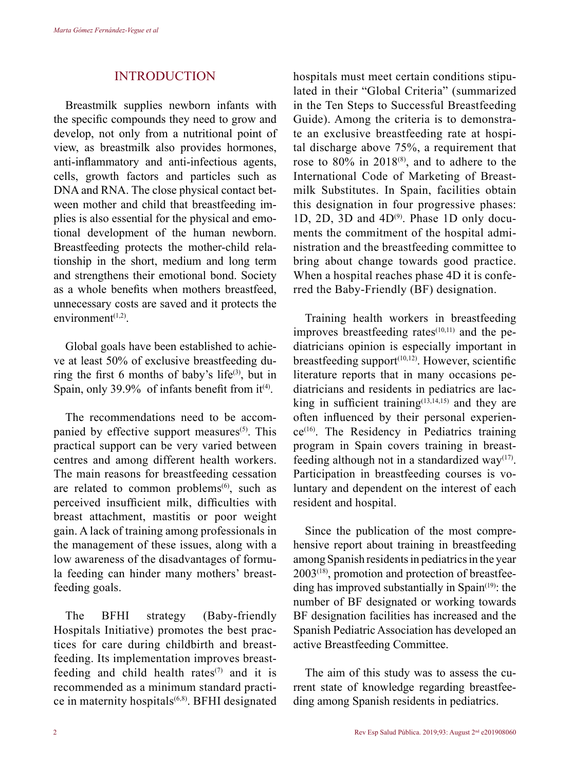## **INTRODUCTION**

Breastmilk supplies newborn infants with the specific compounds they need to grow and develop, not only from a nutritional point of view, as breastmilk also provides hormones, anti-inflammatory and anti-infectious agents, cells, growth factors and particles such as DNA and RNA. The close physical contact between mother and child that breastfeeding implies is also essential for the physical and emotional development of the human newborn. Breastfeeding protects the mother-child relationship in the short, medium and long term and strengthens their emotional bond. Society as a whole benefits when mothers breastfeed, unnecessary costs are saved and it protects the environment $(1,2)$ .

Global goals have been established to achieve at least 50% of exclusive breastfeeding during the first 6 months of baby's life $(3)$ , but in Spain, only 39.9% of infants benefit from  $it^{(4)}$ .

The recommendations need to be accompanied by effective support measures<sup>(5)</sup>. This practical support can be very varied between centres and among different health workers. The main reasons for breastfeeding cessation are related to common problems $<sup>(6)</sup>$ , such as</sup> perceived insufficient milk, difficulties with breast attachment, mastitis or poor weight gain. A lack of training among professionals in the management of these issues, along with a low awareness of the disadvantages of formula feeding can hinder many mothers' breastfeeding goals.

The BFHI strategy (Baby-friendly Hospitals Initiative) promotes the best practices for care during childbirth and breastfeeding. Its implementation improves breastfeeding and child health rates $(7)$  and it is recommended as a minimum standard practice in maternity hospitals<sup>(6,8)</sup>. BFHI designated hospitals must meet certain conditions stipulated in their "Global Criteria" (summarized in the Ten Steps to Successful Breastfeeding Guide). Among the criteria is to demonstrate an exclusive breastfeeding rate at hospital discharge above 75%, a requirement that rose to  $80\%$  in  $2018^{(8)}$ , and to adhere to the International Code of Marketing of Breastmilk Substitutes. In Spain, facilities obtain this designation in four progressive phases: 1D, 2D, 3D and  $4D^{(9)}$ . Phase 1D only documents the commitment of the hospital administration and the breastfeeding committee to bring about change towards good practice. When a hospital reaches phase 4D it is conferred the Baby-Friendly (BF) designation.

Training health workers in breastfeeding improves breastfeeding rates $(10,11)$  and the pediatricians opinion is especially important in breastfeeding support $(10,12)$ . However, scientific literature reports that in many occasions pediatricians and residents in pediatrics are lacking in sufficient training $(13,14,15)$  and they are often influenced by their personal experien $ce^{(16)}$ . The Residency in Pediatrics training program in Spain covers training in breastfeeding although not in a standardized way<sup> $(17)$ </sup>. Participation in breastfeeding courses is voluntary and dependent on the interest of each resident and hospital.

Since the publication of the most comprehensive report about training in breastfeeding among Spanish residents in pediatrics in the year  $2003^{(18)}$ , promotion and protection of breastfeeding has improved substantially in Spain $(19)$ : the number of BF designated or working towards BF designation facilities has increased and the Spanish Pediatric Association has developed an active Breastfeeding Committee.

The aim of this study was to assess the current state of knowledge regarding breastfeeding among Spanish residents in pediatrics.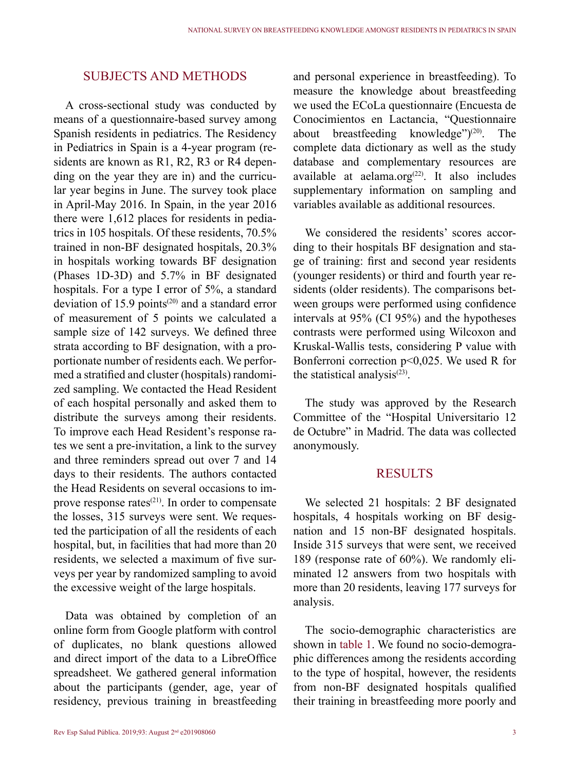### Subjects and methods

A cross-sectional study was conducted by means of a questionnaire-based survey among Spanish residents in pediatrics. The Residency in Pediatrics in Spain is a 4-year program (residents are known as R1, R2, R3 or R4 depending on the year they are in) and the curricular year begins in June. The survey took place in April-May 2016. In Spain, in the year 2016 there were 1,612 places for residents in pediatrics in 105 hospitals. Of these residents, 70.5% trained in non-BF designated hospitals, 20.3% in hospitals working towards BF designation (Phases 1D-3D) and 5.7% in BF designated hospitals. For a type I error of 5%, a standard deviation of 15.9 points<sup>(20)</sup> and a standard error of measurement of 5 points we calculated a sample size of 142 surveys. We defined three strata according to BF designation, with a proportionate number of residents each. We performed a stratified and cluster (hospitals) randomized sampling. We contacted the Head Resident of each hospital personally and asked them to distribute the surveys among their residents. To improve each Head Resident's response rates we sent a pre-invitation, a link to the survey and three reminders spread out over 7 and 14 days to their residents. The authors contacted the Head Residents on several occasions to improve response rates $(21)$ . In order to compensate the losses, 315 surveys were sent. We requested the participation of all the residents of each hospital, but, in facilities that had more than 20 residents, we selected a maximum of five surveys per year by randomized sampling to avoid the excessive weight of the large hospitals.

Data was obtained by completion of an online form from Google platform with control of duplicates, no blank questions allowed and direct import of the data to a LibreOffice spreadsheet. We gathered general information about the participants (gender, age, year of residency, previous training in breastfeeding

and personal experience in breastfeeding). To measure the knowledge about breastfeeding we used the ECoLa questionnaire (Encuesta de Conocimientos en Lactancia, "Questionnaire about breastfeeding knowledge")<sup>(20)</sup>. The complete data dictionary as well as the study database and complementary resources are available at aelama.org $(22)$ . It also includes supplementary information on sampling and variables available as additional resources.

We considered the residents' scores according to their hospitals BF designation and stage of training: first and second year residents (younger residents) or third and fourth year residents (older residents). The comparisons between groups were performed using confidence intervals at 95% (CI 95%) and the hypotheses contrasts were performed using Wilcoxon and Kruskal-Wallis tests, considering P value with Bonferroni correction  $p<0.025$ . We used R for the statistical analysis $(23)$ .

The study was approved by the Research Committee of the "Hospital Universitario 12 de Octubre" in Madrid. The data was collected anonymously.

### **RESULTS**

We selected 21 hospitals: 2 BF designated hospitals, 4 hospitals working on BF designation and 15 non-BF designated hospitals. Inside 315 surveys that were sent, we received 189 (response rate of 60%). We randomly eliminated 12 answers from two hospitals with more than 20 residents, leaving 177 surveys for analysis.

The socio-demographic characteristics are shown in table 1. We found no socio-demographic differences among the residents according to the type of hospital, however, the residents from non-BF designated hospitals qualified their training in breastfeeding more poorly and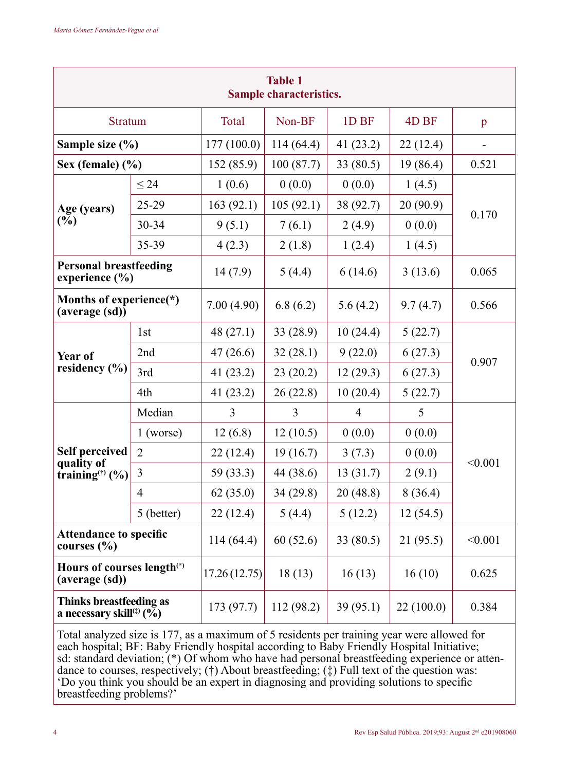| <b>Table 1</b><br>Sample characteristics.             |                |                            |                       |                  |           |              |  |  |
|-------------------------------------------------------|----------------|----------------------------|-----------------------|------------------|-----------|--------------|--|--|
| <b>Stratum</b>                                        |                | Total                      | Non-BF                | 1D <sub>BF</sub> | 4D BF     | $\mathbf{p}$ |  |  |
| Sample size (%)                                       |                | 177 (100.0)                | 114(64.4)<br>41(23.2) |                  | 22(12.4)  |              |  |  |
| Sex (female) $(\% )$                                  |                | 152 (85.9)                 | 100(87.7)             | 33 (80.5)        | 19(86.4)  | 0.521        |  |  |
|                                                       | $\leq 24$      | 1(0.6)                     | 0(0.0)                | 0(0.0)           | 1(4.5)    |              |  |  |
| Age (years)                                           | $25 - 29$      | 163(92.1)                  | 105(92.1)             | 38 (92.7)        | 20 (90.9) | 0.170        |  |  |
| (%)                                                   | 30-34          | 9(5.1)<br>7(6.1)<br>2(4.9) |                       |                  | 0(0.0)    |              |  |  |
|                                                       | 35-39          | 4(2.3)                     | 2(1.8)                | 1(2.4)           | 1(4.5)    |              |  |  |
| <b>Personal breastfeeding</b><br>experience (%)       |                | 14(7.9)                    | 5(4.4)                | 6(14.6)          | 3(13.6)   | 0.065        |  |  |
| Months of experience(*)<br>(average (sd))             |                | 7.00(4.90)                 | 6.8(6.2)              | 5.6(4.2)         | 9.7(4.7)  | 0.566        |  |  |
|                                                       | 1st            | 48(27.1)                   | 33 (28.9)             | 10(24.4)         | 5(22.7)   | 0.907        |  |  |
| Year of                                               | 2nd            | 47(26.6)                   | 32(28.1)              | 9(22.0)          | 6(27.3)   |              |  |  |
| residency (%)                                         | 3rd            | 41(23.2)                   | 23(20.2)              | 12(29.3)         | 6(27.3)   |              |  |  |
|                                                       | 4th            | 41(23.2)                   | 26(22.8)              | 10(20.4)         | 5(22.7)   |              |  |  |
|                                                       | Median         | 3                          | 3                     | $\overline{4}$   | 5         |              |  |  |
|                                                       | $1$ (worse)    | 12(6.8)                    | 12(10.5)              | 0(0.0)           | 0(0.0)    | < 0.001      |  |  |
| <b>Self perceived</b><br>quality of                   | $\overline{2}$ | 22(12.4)                   | 19(16.7)              | 3(7.3)           | 0(0.0)    |              |  |  |
| training <sup><math>(f)</math></sup> (%)              | 3              | 59 (33.3)                  | 44 (38.6)             | 13(31.7)         | 2(9.1)    |              |  |  |
|                                                       | 4              | 62(35.0)                   | 34(29.8)              | 20(48.8)         | 8(36.4)   |              |  |  |
|                                                       | 5 (better)     | 22(12.4)                   | 5(4.4)                | 5(12.2)          | 12(54.5)  |              |  |  |
| <b>Attendance to specific</b><br>courses $(\% )$      |                | 114(64.4)                  | 60(52.6)              | 33 (80.5)        | 21(95.5)  | < 0.001      |  |  |
| Hours of courses length(*)<br>(average (sd))          |                | 17.26(12.75)               | 18(13)                | 16(13)           | 16(10)    | 0.625        |  |  |
| Thinks breastfeeding as<br>a necessary skill $(1, 0)$ |                | 173 (97.7)                 | 112(98.2)             | 39(95.1)         | 22(100.0) | 0.384        |  |  |

Total analyzed size is 177, as a maximum of 5 residents per training year were allowed for each hospital; BF: Baby Friendly hospital according to Baby Friendly Hospital Initiative; sd: standard deviation; (\*) Of whom who have had personal breastfeeding experience or attendance to courses, respectively; (†) About breastfeeding; (‡) Full text of the question was: 'Do you think you should be an expert in diagnosing and providing solutions to specific breastfeeding problems?'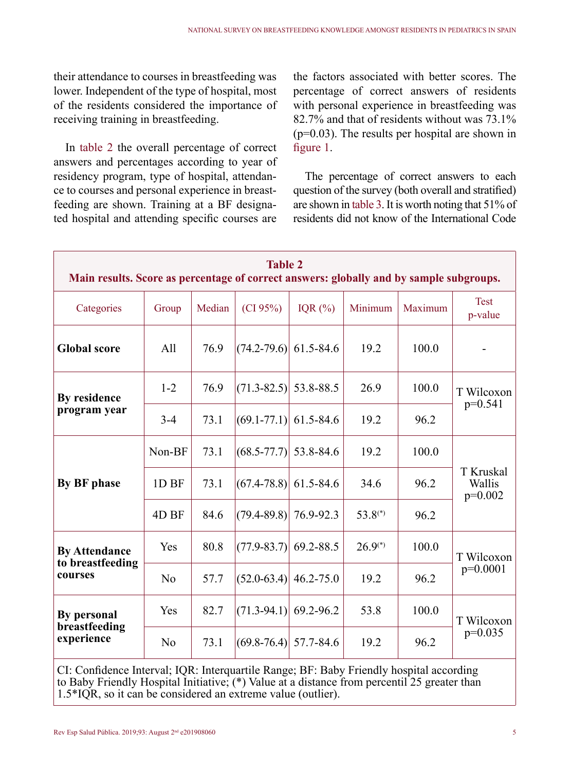their attendance to courses in breastfeeding was lower. Independent of the type of hospital, most of the residents considered the importance of receiving training in breastfeeding.

In table 2 the overall percentage of correct answers and percentages according to year of residency program, type of hospital, attendance to courses and personal experience in breastfeeding are shown. Training at a BF designated hospital and attending specific courses are

the factors associated with better scores. The percentage of correct answers of residents with personal experience in breastfeeding was 82.7% and that of residents without was 73.1% (p=0.03). The results per hospital are shown in figure 1.

The percentage of correct answers to each question of the survey (both overall and stratified) are shown in table 3. It is worth noting that 51% of residents did not know of the International Code

| <b>Table 2</b><br>Main results. Score as percentage of correct answers: globally and by sample subgroups. |          |        |                           |               |              |         |                                  |  |  |
|-----------------------------------------------------------------------------------------------------------|----------|--------|---------------------------|---------------|--------------|---------|----------------------------------|--|--|
| Categories                                                                                                | Group    | Median | (CI 95%)                  | IQR $(\%)$    | Minimum      | Maximum | <b>Test</b><br>p-value           |  |  |
| <b>Global score</b>                                                                                       | A11      | 76.9   | $(74.2 - 79.6)$           | 61.5-84.6     | 19.2         | 100.0   |                                  |  |  |
| By residence                                                                                              | $1 - 2$  | 76.9   | $(71.3 - 82.5)$           | 53.8-88.5     | 26.9         | 100.0   | T Wilcoxon<br>$p=0.541$          |  |  |
| program year                                                                                              | $3 - 4$  | 73.1   | $(69.1 - 77.1)$           | 61.5-84.6     | 19.2         | 96.2    |                                  |  |  |
|                                                                                                           | Non-BF   | 73.1   | $(68.5 - 77.7)$           | 53.8-84.6     | 19.2         | 100.0   | T Kruskal<br>Wallis<br>$p=0.002$ |  |  |
| By BF phase                                                                                               | 1D BF    | 73.1   | $(67.4 - 78.8)$           | 61.5-84.6     | 34.6         | 96.2    |                                  |  |  |
|                                                                                                           | 4D BF    | 84.6   | $(79.4 - 89.8)$           | 76.9-92.3     | $53.8^{(*)}$ | 96.2    |                                  |  |  |
| <b>By Attendance</b><br>to breastfeeding                                                                  | Yes      | 80.8   | $(77.9 - 83.7)$           | 69.2-88.5     | $26.9^{(*)}$ | 100.0   | T Wilcoxon<br>$p=0.0001$         |  |  |
| courses                                                                                                   | $\rm No$ | 57.7   | $(52.0-63.4)$             | $46.2 - 75.0$ | 19.2         | 96.2    |                                  |  |  |
| By personal                                                                                               | Yes      | 82.7   | $(71.3-94.1)$             | 69.2-96.2     | 53.8         | 100.0   | T Wilcoxon<br>$p=0.035$          |  |  |
| breastfeeding<br>experience                                                                               | $\rm No$ | 73.1   | $(69.8 - 76.4)$ 57.7-84.6 |               | 19.2         | 96.2    |                                  |  |  |

CI: Confidence Interval; IQR: Interquartile Range; BF: Baby Friendly hospital according to Baby Friendly Hospital Initiative; (\*) Value at a distance from percentil 25 greater than 1.5\*IQR, so it can be considered an extreme value (outlier).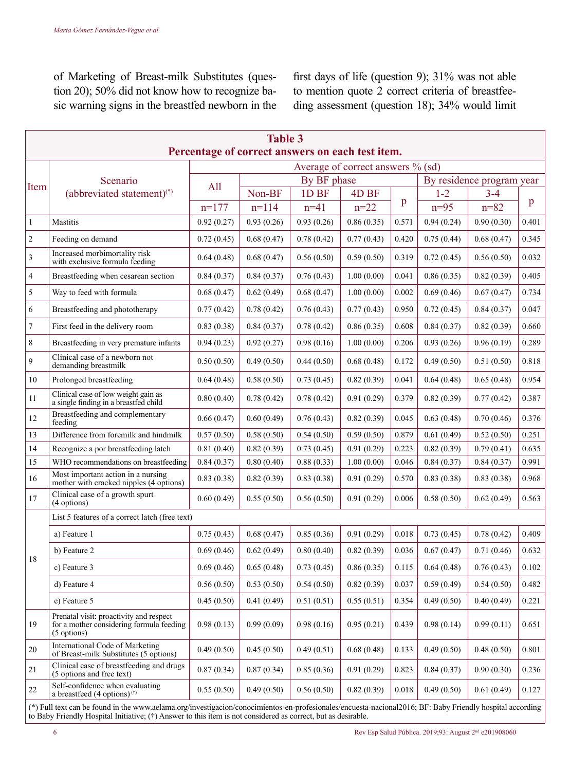of Marketing of Breast-milk Substitutes (question 20); 50% did not know how to recognize basic warning signs in the breastfed newborn in the first days of life (question 9); 31% was not able to mention quote 2 correct criteria of breastfeeding assessment (question 18); 34% would limit

| <b>Table 3</b><br>Percentage of correct answers on each test item. |                                                                                                    |             |            |                  |                  |       |                           |            |       |
|--------------------------------------------------------------------|----------------------------------------------------------------------------------------------------|-------------|------------|------------------|------------------|-------|---------------------------|------------|-------|
| Average of correct answers % (sd)                                  |                                                                                                    |             |            |                  |                  |       |                           |            |       |
| Item                                                               | Scenario<br>(abbreviated statement) <sup>(*)</sup>                                                 | By BF phase |            |                  |                  |       | By residence program year |            |       |
|                                                                    |                                                                                                    | A11         | Non-BF     | 1D <sub>BF</sub> | 4D <sub>BF</sub> |       | $1 - 2$                   | $3 - 4$    |       |
|                                                                    |                                                                                                    | $n=177$     | $n=114$    | $n=41$           | $n=22$           | p     | $n=95$                    | $n = 82$   | p     |
| $\mathbf{1}$                                                       | Mastitis                                                                                           | 0.92(0.27)  | 0.93(0.26) | 0.93(0.26)       | 0.86(0.35)       | 0.571 | 0.94(0.24)                | 0.90(0.30) | 0.401 |
| $\overline{2}$                                                     | Feeding on demand                                                                                  | 0.72(0.45)  | 0.68(0.47) | 0.78(0.42)       | 0.77(0.43)       | 0.420 | 0.75(0.44)                | 0.68(0.47) | 0.345 |
| $\overline{\mathbf{3}}$                                            | Increased morbimortality risk<br>with exclusive formula feeding                                    | 0.64(0.48)  | 0.68(0.47) | 0.56(0.50)       | 0.59(0.50)       | 0.319 | 0.72(0.45)                | 0.56(0.50) | 0.032 |
| $\overline{4}$                                                     | Breastfeeding when cesarean section                                                                | 0.84(0.37)  | 0.84(0.37) | 0.76(0.43)       | 1.00(0.00)       | 0.041 | 0.86(0.35)                | 0.82(0.39) | 0.405 |
| 5                                                                  | Way to feed with formula                                                                           | 0.68(0.47)  | 0.62(0.49) | 0.68(0.47)       | 1.00(0.00)       | 0.002 | 0.69(0.46)                | 0.67(0.47) | 0.734 |
| 6                                                                  | Breastfeeding and phototherapy                                                                     | 0.77(0.42)  | 0.78(0.42) | 0.76(0.43)       | 0.77(0.43)       | 0.950 | 0.72(0.45)                | 0.84(0.37) | 0.047 |
| $\overline{7}$                                                     | First feed in the delivery room                                                                    | 0.83(0.38)  | 0.84(0.37) | 0.78(0.42)       | 0.86(0.35)       | 0.608 | 0.84(0.37)                | 0.82(0.39) | 0.660 |
| 8                                                                  | Breastfeeding in very premature infants                                                            | 0.94(0.23)  | 0.92(0.27) | 0.98(0.16)       | 1.00(0.00)       | 0.206 | 0.93(0.26)                | 0.96(0.19) | 0.289 |
| $\mathbf{Q}$                                                       | Clinical case of a newborn not<br>demanding breastmilk                                             | 0.50(0.50)  | 0.49(0.50) | 0.44(0.50)       | 0.68(0.48)       | 0.172 | 0.49(0.50)                | 0.51(0.50) | 0.818 |
| 10                                                                 | Prolonged breastfeeding                                                                            | 0.64(0.48)  | 0.58(0.50) | 0.73(0.45)       | 0.82(0.39)       | 0.041 | 0.64(0.48)                | 0.65(0.48) | 0.954 |
| 11                                                                 | Clinical case of low weight gain as<br>a single finding in a breastfed child                       | 0.80(0.40)  | 0.78(0.42) | 0.78(0.42)       | 0.91(0.29)       | 0.379 | 0.82(0.39)                | 0.77(0.42) | 0.387 |
| 12                                                                 | Breastfeeding and complementary<br>feeding                                                         | 0.66(0.47)  | 0.60(0.49) | 0.76(0.43)       | 0.82(0.39)       | 0.045 | 0.63(0.48)                | 0.70(0.46) | 0.376 |
| 13                                                                 | Difference from foremilk and hindmilk                                                              | 0.57(0.50)  | 0.58(0.50) | 0.54(0.50)       | 0.59(0.50)       | 0.879 | 0.61(0.49)                | 0.52(0.50) | 0.251 |
| 14                                                                 | Recognize a por breastfeeding latch                                                                | 0.81(0.40)  | 0.82(0.39) | 0.73(0.45)       | 0.91(0.29)       | 0.223 | 0.82(0.39)                | 0.79(0.41) | 0.635 |
| 15                                                                 | WHO recommendations on breastfeeding                                                               | 0.84(0.37)  | 0.80(0.40) | 0.88(0.33)       | 1.00(0.00)       | 0.046 | 0.84(0.37)                | 0.84(0.37) | 0.991 |
| 16                                                                 | Most important action in a nursing<br>mother with cracked nipples (4 options)                      | 0.83(0.38)  | 0.82(0.39) | 0.83(0.38)       | 0.91(0.29)       | 0.570 | 0.83(0.38)                | 0.83(0.38) | 0.968 |
| 17                                                                 | Clinical case of a growth spurt<br>(4 options)                                                     | 0.60(0.49)  | 0.55(0.50) | 0.56(0.50)       | 0.91(0.29)       | 0.006 | 0.58(0.50)                | 0.62(0.49) | 0.563 |
|                                                                    | List 5 features of a correct latch (free text)                                                     |             |            |                  |                  |       |                           |            |       |
| 18                                                                 | a) Feature 1                                                                                       | 0.75(0.43)  | 0.68(0.47) | 0.85(0.36)       | 0.91(0.29)       | 0.018 | 0.73(0.45)                | 0.78(0.42) | 0.409 |
|                                                                    | b) Feature 2                                                                                       | 0.69(0.46)  | 0.62(0.49) | 0.80(0.40)       | 0.82(0.39)       | 0.036 | 0.67(0.47)                | 0.71(0.46) | 0.632 |
|                                                                    | c) Feature 3                                                                                       | 0.69(0.46)  | 0.65(0.48) | 0.73(0.45)       | 0.86(0.35)       | 0.115 | 0.64(0.48)                | 0.76(0.43) | 0.102 |
|                                                                    | d) Feature 4                                                                                       | 0.56(0.50)  | 0.53(0.50) | 0.54(0.50)       | 0.82(0.39)       | 0.037 | 0.59(0.49)                | 0.54(0.50) | 0.482 |
|                                                                    | e) Feature 5                                                                                       | 0.45(0.50)  | 0.41(0.49) | 0.51(0.51)       | 0.55(0.51)       | 0.354 | 0.49(0.50)                | 0.40(0.49) | 0.221 |
| 19                                                                 | Prenatal visit: proactivity and respect<br>for a mother considering formula feeding<br>(5 options) | 0.98(0.13)  | 0.99(0.09) | 0.98(0.16)       | 0.95(0.21)       | 0.439 | 0.98(0.14)                | 0.99(0.11) | 0.651 |
| 20                                                                 | International Code of Marketing<br>of Breast-milk Substitutes (5 options)                          | 0.49(0.50)  | 0.45(0.50) | 0.49(0.51)       | 0.68(0.48)       | 0.133 | 0.49(0.50)                | 0.48(0.50) | 0.801 |
| 21                                                                 | Clinical case of breastfeeding and drugs<br>(5 options and free text)                              | 0.87(0.34)  | 0.87(0.34) | 0.85(0.36)       | 0.91(0.29)       | 0.823 | 0.84(0.37)                | 0.90(0.30) | 0.236 |
| 22                                                                 | Self-confidence when evaluating<br>a breastfeed $(4 \text{ options})^{(\dagger)}$                  | 0.55(0.50)  | 0.49(0.50) | 0.56(0.50)       | 0.82(0.39)       | 0.018 | 0.49(0.50)                | 0.61(0.49) | 0.127 |

(\*) Full text can be found in the www.aelama.org/investigacion/conocimientos-en-profesionales/encuesta-nacional2016; BF: Baby Friendly hospital according<br>to Baby Friendly Hospital Initiative; (†) Answer to this ítem is not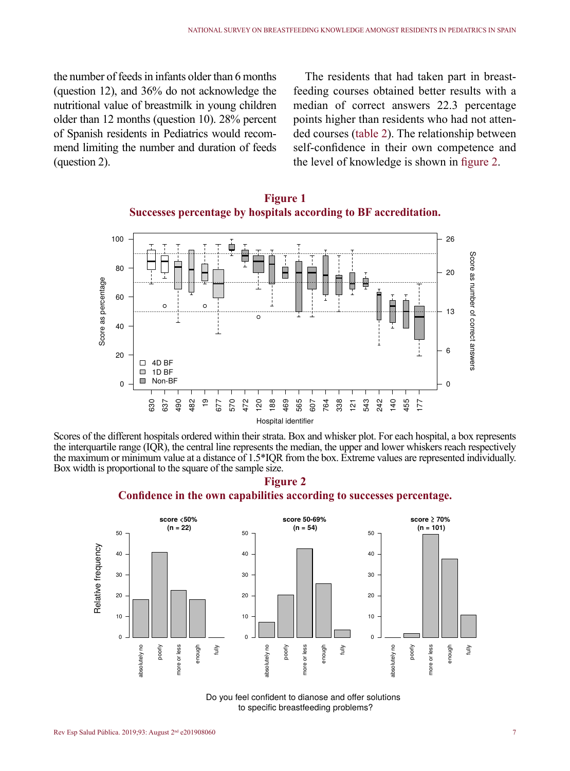the number of feeds in infants older than 6 months (question 12), and 36% do not acknowledge the nutritional value of breastmilk in young children older than 12 months (question 10). 28% percent of Spanish residents in Pediatrics would recommend limiting the number and duration of feeds (question 2).

The residents that had taken part in breastfeeding courses obtained better results with a median of correct answers 22.3 percentage points higher than residents who had not attended courses (table 2). The relationship between self-confidence in their own competence and the level of knowledge is shown in figure 2.



**Figure 1 Successes percentage by hospitals according to BF accreditation.**

Scores of the different hospitals ordered within their strata. Box and whisker plot. For each hospital, a box represents the interquartile range (IQR), the central line represents the median, the upper and lower whiskers reach respectively the maximum or minimum value at a distance of 1.5\*IQR from the box. Extreme values are represented individually. Box width is proportional to the square of the sample size.





Do you feel confident to dianose and offer solutions to specific breastfeeding problems?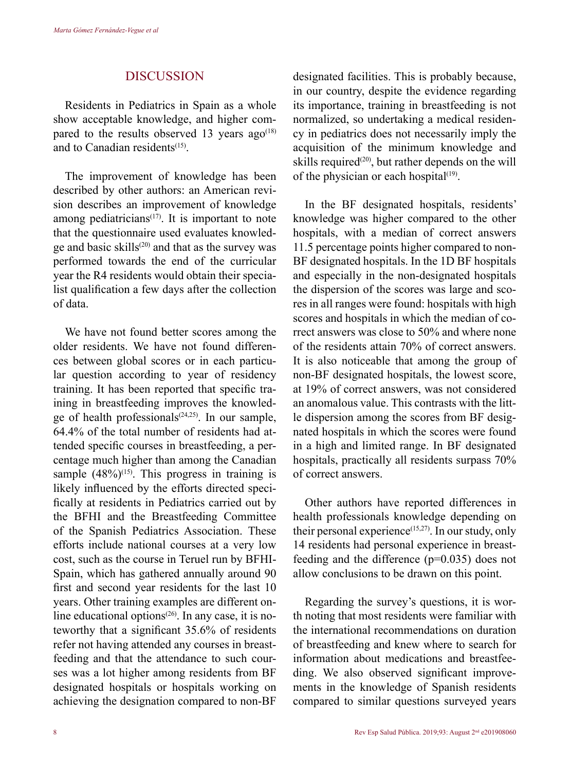### **DISCUSSION**

Residents in Pediatrics in Spain as a whole show acceptable knowledge, and higher compared to the results observed 13 years  $a\alpha^{(18)}$ and to Canadian residents(15).

The improvement of knowledge has been described by other authors: an American revision describes an improvement of knowledge among pediatricians<sup> $(17)$ </sup>. It is important to note that the questionnaire used evaluates knowledge and basic skills(20) and that as the survey was performed towards the end of the curricular year the R4 residents would obtain their specialist qualification a few days after the collection of data.

We have not found better scores among the older residents. We have not found differences between global scores or in each particular question according to year of residency training. It has been reported that specific training in breastfeeding improves the knowledge of health professionals<sup> $(24,25)$ </sup>. In our sample, 64.4% of the total number of residents had attended specific courses in breastfeeding, a percentage much higher than among the Canadian sample  $(48\%)^{(15)}$ . This progress in training is likely influenced by the efforts directed specifically at residents in Pediatrics carried out by the BFHI and the Breastfeeding Committee of the Spanish Pediatrics Association. These efforts include national courses at a very low cost, such as the course in Teruel run by BFHI-Spain, which has gathered annually around 90 first and second year residents for the last 10 years. Other training examples are different online educational options $(26)$ . In any case, it is noteworthy that a significant 35.6% of residents refer not having attended any courses in breastfeeding and that the attendance to such courses was a lot higher among residents from BF designated hospitals or hospitals working on achieving the designation compared to non-BF designated facilities. This is probably because, in our country, despite the evidence regarding its importance, training in breastfeeding is not normalized, so undertaking a medical residency in pediatrics does not necessarily imply the acquisition of the minimum knowledge and skills required<sup>(20)</sup>, but rather depends on the will of the physician or each hospital $(19)$ .

In the BF designated hospitals, residents' knowledge was higher compared to the other hospitals, with a median of correct answers 11.5 percentage points higher compared to non-BF designated hospitals. In the 1D BF hospitals and especially in the non-designated hospitals the dispersion of the scores was large and scores in all ranges were found: hospitals with high scores and hospitals in which the median of correct answers was close to 50% and where none of the residents attain 70% of correct answers. It is also noticeable that among the group of non-BF designated hospitals, the lowest score, at 19% of correct answers, was not considered an anomalous value. This contrasts with the little dispersion among the scores from BF designated hospitals in which the scores were found in a high and limited range. In BF designated hospitals, practically all residents surpass 70% of correct answers.

Other authors have reported differences in health professionals knowledge depending on their personal experience $^{(15,27)}$ . In our study, only 14 residents had personal experience in breastfeeding and the difference  $(p=0.035)$  does not allow conclusions to be drawn on this point.

Regarding the survey's questions, it is worth noting that most residents were familiar with the international recommendations on duration of breastfeeding and knew where to search for information about medications and breastfeeding. We also observed significant improvements in the knowledge of Spanish residents compared to similar questions surveyed years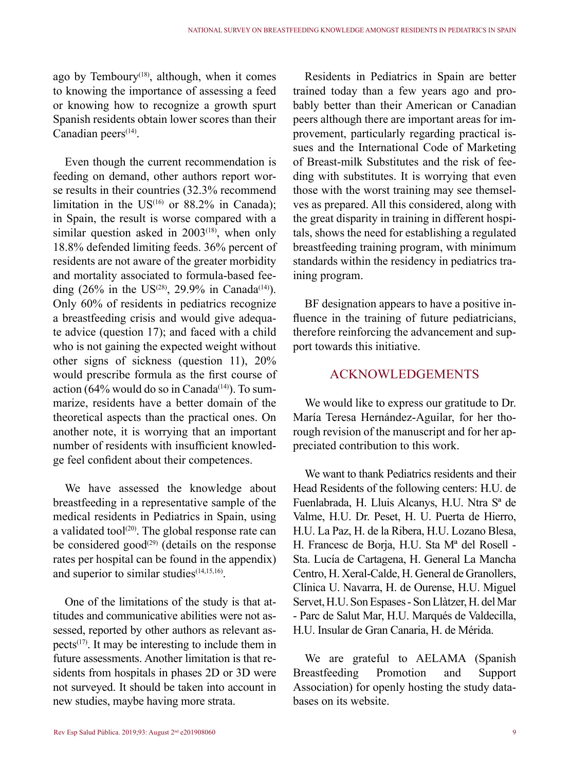ago by Temboury<sup> $(18)$ </sup>, although, when it comes to knowing the importance of assessing a feed or knowing how to recognize a growth spurt Spanish residents obtain lower scores than their  $C$ anadian peers<sup> $(14)$ </sup>.

Even though the current recommendation is feeding on demand, other authors report worse results in their countries (32.3% recommend limitation in the  $US^{(16)}$  or 88.2% in Canada); in Spain, the result is worse compared with a similar question asked in  $2003^{(18)}$ , when only 18.8% defended limiting feeds. 36% percent of residents are not aware of the greater morbidity and mortality associated to formula-based feeding  $(26\%$  in the US<sup>(28)</sup>, 29.9% in Canada<sup>(14)</sup>). Only 60% of residents in pediatrics recognize a breastfeeding crisis and would give adequate advice (question 17); and faced with a child who is not gaining the expected weight without other signs of sickness (question 11), 20% would prescribe formula as the first course of action (64% would do so in Canada<sup>(14)</sup>). To summarize, residents have a better domain of the theoretical aspects than the practical ones. On another note, it is worrying that an important number of residents with insufficient knowledge feel confident about their competences.

We have assessed the knowledge about breastfeeding in a representative sample of the medical residents in Pediatrics in Spain, using a validated tool<sup>(20)</sup>. The global response rate can be considered good<sup>(29)</sup> (details on the response rates per hospital can be found in the appendix) and superior to similar studies $(14,15,16)$ .

One of the limitations of the study is that attitudes and communicative abilities were not assessed, reported by other authors as relevant aspects $(17)$ . It may be interesting to include them in future assessments. Another limitation is that residents from hospitals in phases 2D or 3D were not surveyed. It should be taken into account in new studies, maybe having more strata.

Residents in Pediatrics in Spain are better trained today than a few years ago and probably better than their American or Canadian peers although there are important areas for improvement, particularly regarding practical issues and the International Code of Marketing of Breast-milk Substitutes and the risk of feeding with substitutes. It is worrying that even those with the worst training may see themselves as prepared. All this considered, along with the great disparity in training in different hospitals, shows the need for establishing a regulated breastfeeding training program, with minimum standards within the residency in pediatrics training program.

BF designation appears to have a positive influence in the training of future pediatricians, therefore reinforcing the advancement and support towards this initiative.

# **ACKNOWLEDGEMENTS**

We would like to express our gratitude to Dr. María Teresa Hernández-Aguilar, for her thorough revision of the manuscript and for her appreciated contribution to this work.

We want to thank Pediatrics residents and their Head Residents of the following centers: H.U. de Fuenlabrada, H. Lluis Alcanys, H.U. Ntra Sª de Valme, H.U. Dr. Peset, H. U. Puerta de Hierro, H.U. La Paz, H. de la Ribera, H.U. Lozano Blesa, H. Francesc de Borja, H.U. Sta Mª del Rosell - Sta. Lucía de Cartagena, H. General La Mancha Centro, H. Xeral-Calde, H. General de Granollers, Clínica U. Navarra, H. de Ourense, H.U. Miguel Servet, H.U. Son Espases - Son Llàtzer, H. del Mar - Parc de Salut Mar, H.U. Marqués de Valdecilla, H.U. Insular de Gran Canaria, H. de Mérida.

We are grateful to AELAMA (Spanish Breastfeeding Promotion and Support Association) for openly hosting the study databases on its website.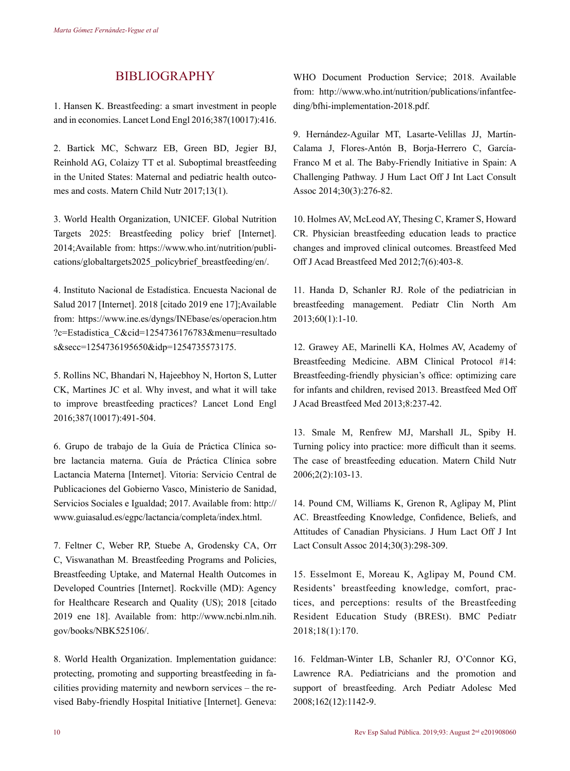# BIBLIOGRAPHY

1. Hansen K. Breastfeeding: a smart investment in people and in economies. Lancet Lond Engl 2016;387(10017):416.

2. Bartick MC, Schwarz EB, Green BD, Jegier BJ, Reinhold AG, Colaizy TT et al. Suboptimal breastfeeding in the United States: Maternal and pediatric health outcomes and costs. Matern Child Nutr 2017;13(1).

3. World Health Organization, UNICEF. Global Nutrition Targets 2025: Breastfeeding policy brief [Internet]. 2014;Available from: https://www.who.int/nutrition/publications/globaltargets2025\_policybrief\_breastfeeding/en/.

4. Instituto Nacional de Estadística. Encuesta Nacional de Salud 2017 [Internet]. 2018 [citado 2019 ene 17];Available from: https://www.ine.es/dyngs/INEbase/es/operacion.htm ?c=Estadistica\_C&cid=1254736176783&menu=resultado s&secc=1254736195650&idp=1254735573175.

5. Rollins NC, Bhandari N, Hajeebhoy N, Horton S, Lutter CK, Martines JC et al. Why invest, and what it will take to improve breastfeeding practices? Lancet Lond Engl 2016;387(10017):491-504.

6. Grupo de trabajo de la Guía de Práctica Clínica sobre lactancia materna. Guía de Práctica Clínica sobre Lactancia Materna [Internet]. Vitoria: Servicio Central de Publicaciones del Gobierno Vasco, Ministerio de Sanidad, Servicios Sociales e Igualdad; 2017. Available from: http:// www.guiasalud.es/egpc/lactancia/completa/index.html.

7. Feltner C, Weber RP, Stuebe A, Grodensky CA, Orr C, Viswanathan M. Breastfeeding Programs and Policies, Breastfeeding Uptake, and Maternal Health Outcomes in Developed Countries [Internet]. Rockville (MD): Agency for Healthcare Research and Quality (US); 2018 [citado 2019 ene 18]. Available from: http://www.ncbi.nlm.nih. gov/books/NBK525106/.

8. World Health Organization. Implementation guidance: protecting, promoting and supporting breastfeeding in facilities providing maternity and newborn services – the revised Baby-friendly Hospital Initiative [Internet]. Geneva:

WHO Document Production Service; 2018. Available from: http://www.who.int/nutrition/publications/infantfeeding/bfhi-implementation-2018.pdf.

9. Hernández-Aguilar MT, Lasarte-Velillas JJ, Martín-Calama J, Flores-Antón B, Borja-Herrero C, García-Franco M et al. The Baby-Friendly Initiative in Spain: A Challenging Pathway. J Hum Lact Off J Int Lact Consult Assoc 2014;30(3):276-82.

10. Holmes AV, McLeod AY, Thesing C, Kramer S, Howard CR. Physician breastfeeding education leads to practice changes and improved clinical outcomes. Breastfeed Med Off J Acad Breastfeed Med 2012;7(6):403-8.

11. Handa D, Schanler RJ. Role of the pediatrician in breastfeeding management. Pediatr Clin North Am 2013;60(1):1-10.

12. Grawey AE, Marinelli KA, Holmes AV, Academy of Breastfeeding Medicine. ABM Clinical Protocol #14: Breastfeeding-friendly physician's office: optimizing care for infants and children, revised 2013. Breastfeed Med Off J Acad Breastfeed Med 2013;8:237-42.

13. Smale M, Renfrew MJ, Marshall JL, Spiby H. Turning policy into practice: more difficult than it seems. The case of breastfeeding education. Matern Child Nutr 2006;2(2):103-13.

14. Pound CM, Williams K, Grenon R, Aglipay M, Plint AC. Breastfeeding Knowledge, Confidence, Beliefs, and Attitudes of Canadian Physicians. J Hum Lact Off J Int Lact Consult Assoc 2014;30(3):298-309.

15. Esselmont E, Moreau K, Aglipay M, Pound CM. Residents' breastfeeding knowledge, comfort, practices, and perceptions: results of the Breastfeeding Resident Education Study (BRESt). BMC Pediatr 2018;18(1):170.

16. Feldman-Winter LB, Schanler RJ, O'Connor KG, Lawrence RA. Pediatricians and the promotion and support of breastfeeding. Arch Pediatr Adolesc Med 2008;162(12):1142-9.